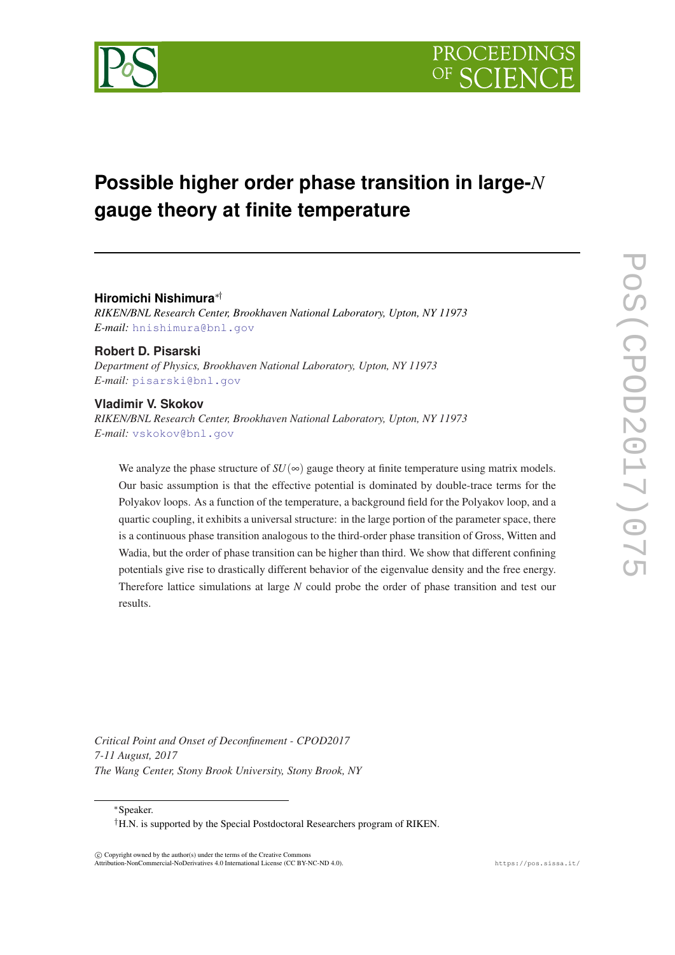

# **Possible higher order phase transition in large-***N* **gauge theory at finite temperature**

# **Hiromichi Nishimura**∗†

*RIKEN/BNL Research Center, Brookhaven National Laboratory, Upton, NY 11973 E-mail:* [hnishimura@bnl.gov](mailto:hnishimura@bnl.gov)

**Robert D. Pisarski** *Department of Physics, Brookhaven National Laboratory, Upton, NY 11973 E-mail:* [pisarski@bnl.gov](mailto:pisarski@bnl.gov)

# **Vladimir V. Skokov**

*RIKEN/BNL Research Center, Brookhaven National Laboratory, Upton, NY 11973 E-mail:* [vskokov@bnl.gov](mailto:vskokov@bnl.gov)

We analyze the phase structure of  $SU(\infty)$  gauge theory at finite temperature using matrix models. Our basic assumption is that the effective potential is dominated by double-trace terms for the Polyakov loops. As a function of the temperature, a background field for the Polyakov loop, and a quartic coupling, it exhibits a universal structure: in the large portion of the parameter space, there is a continuous phase transition analogous to the third-order phase transition of Gross, Witten and Wadia, but the order of phase transition can be higher than third. We show that different confining potentials give rise to drastically different behavior of the eigenvalue density and the free energy. Therefore lattice simulations at large *N* could probe the order of phase transition and test our results.

*Critical Point and Onset of Deconfinement - CPOD2017 7-11 August, 2017 The Wang Center, Stony Brook University, Stony Brook, NY*

<sup>∗</sup>Speaker.

 $\overline{c}$  Copyright owned by the author(s) under the terms of the Creative Common Attribution-NonCommercial-NoDerivatives 4.0 International License (CC BY-NC-ND 4.0). https://pos.sissa.it/

<sup>†</sup>H.N. is supported by the Special Postdoctoral Researchers program of RIKEN.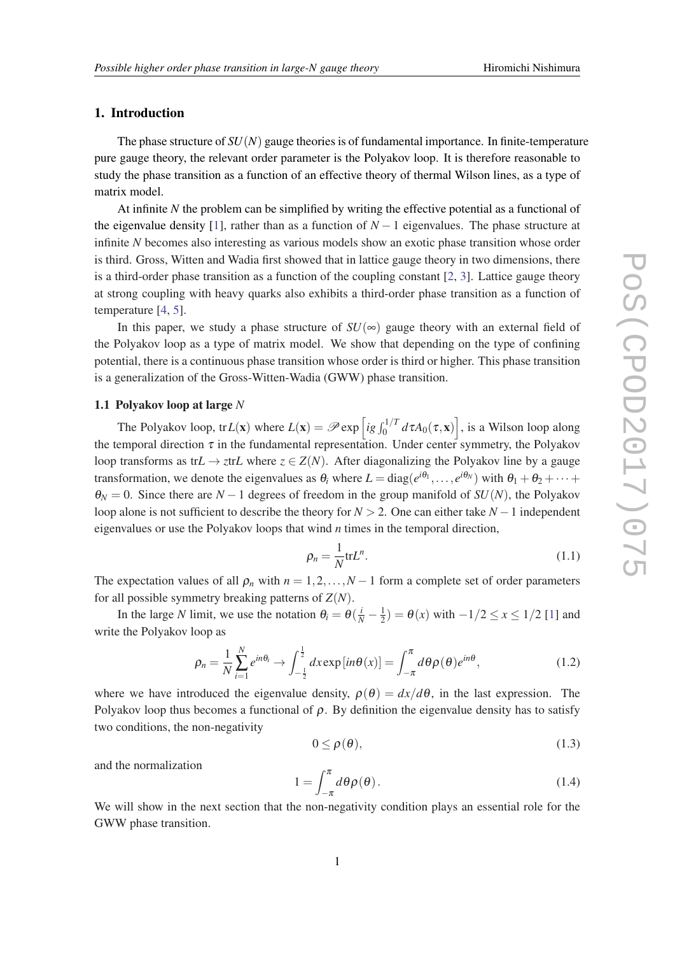# <span id="page-1-0"></span>1. Introduction

The phase structure of  $SU(N)$  gauge theories is of fundamental importance. In finite-temperature pure gauge theory, the relevant order parameter is the Polyakov loop. It is therefore reasonable to study the phase transition as a function of an effective theory of thermal Wilson lines, as a type of matrix model.

At infinite *N* the problem can be simplified by writing the effective potential as a functional of the eigenvalue density [\[1\]](#page-6-0), rather than as a function of  $N-1$  eigenvalues. The phase structure at infinite *N* becomes also interesting as various models show an exotic phase transition whose order is third. Gross, Witten and Wadia first showed that in lattice gauge theory in two dimensions, there is a third-order phase transition as a function of the coupling constant  $[2, 3]$  $[2, 3]$  $[2, 3]$  $[2, 3]$ . Lattice gauge theory at strong coupling with heavy quarks also exhibits a third-order phase transition as a function of temperature [[4](#page-6-0), [5](#page-6-0)].

In this paper, we study a phase structure of  $SU(\infty)$  gauge theory with an external field of the Polyakov loop as a type of matrix model. We show that depending on the type of confining potential, there is a continuous phase transition whose order is third or higher. This phase transition is a generalization of the Gross-Witten-Wadia (GWW) phase transition.

# 1.1 Polyakov loop at large *N*

The Polyakov loop, tr $L(x)$  where  $L(x) = \mathscr{P} \exp \left[ ig \int_0^{1/T} d\tau A_0(\tau, x) \right]$ , is a Wilson loop along the temporal direction  $\tau$  in the fundamental representation. Under center symmetry, the Polyakov loop transforms as tr $L \to z$ tr $L$  where  $z \in Z(N)$ . After diagonalizing the Polyakov line by a gauge transformation, we denote the eigenvalues as  $\theta_i$  where  $L = \text{diag}(e^{i\theta_1}, \dots, e^{i\theta_N})$  with  $\theta_1 + \theta_2 + \dots + \theta_k$  $\theta_N = 0$ . Since there are *N* − 1 degrees of freedom in the group manifold of *SU(N)*, the Polyakov loop alone is not sufficient to describe the theory for *N* > 2. One can either take *N* −1 independent eigenvalues or use the Polyakov loops that wind *n* times in the temporal direction,

$$
\rho_n = \frac{1}{N} \text{tr} L^n. \tag{1.1}
$$

The expectation values of all  $\rho_n$  with  $n = 1, 2, \ldots, N-1$  form a complete set of order parameters for all possible symmetry breaking patterns of *Z*(*N*).

In the large *N* limit, we use the notation  $\theta_i = \theta(\frac{i}{N} - \frac{1}{2})$  $\frac{1}{2}$ ) =  $\theta(x)$  with  $-1/2 \le x \le 1/2$  [\[1\]](#page-6-0) and write the Polyakov loop as

$$
\rho_n = \frac{1}{N} \sum_{i=1}^N e^{in\theta_i} \to \int_{-\frac{1}{2}}^{\frac{1}{2}} dx \exp[i n\theta(x)] = \int_{-\pi}^{\pi} d\theta \rho(\theta) e^{in\theta}, \tag{1.2}
$$

where we have introduced the eigenvalue density,  $\rho(\theta) = dx/d\theta$ , in the last expression. The Polyakov loop thus becomes a functional of  $\rho$ . By definition the eigenvalue density has to satisfy two conditions, the non-negativity

$$
0 \le \rho(\theta), \tag{1.3}
$$

and the normalization

$$
1 = \int_{-\pi}^{\pi} d\theta \rho(\theta). \tag{1.4}
$$

We will show in the next section that the non-negativity condition plays an essential role for the GWW phase transition.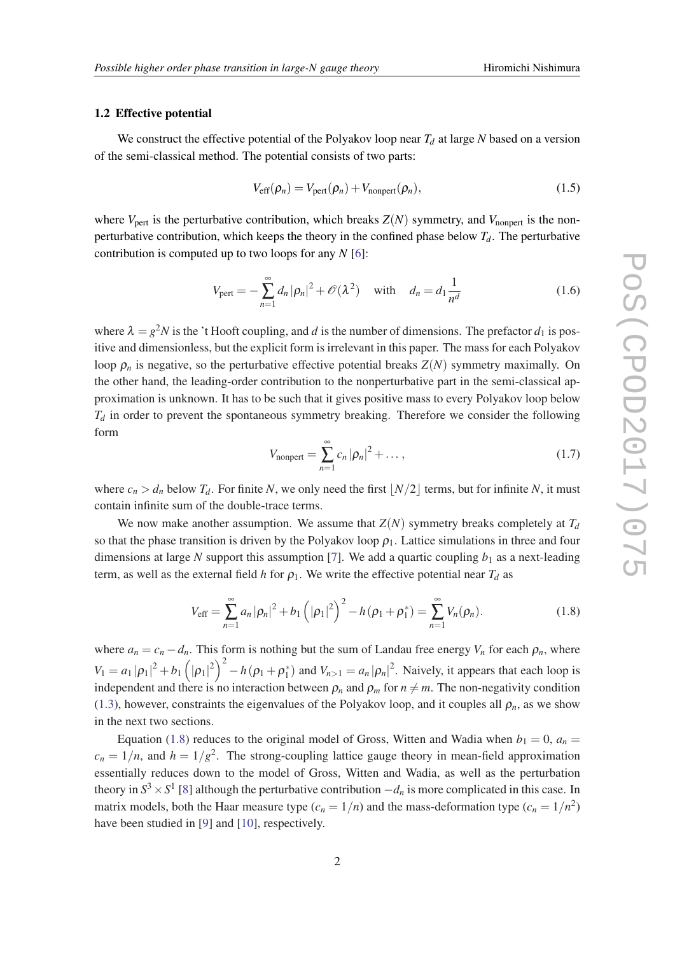#### <span id="page-2-0"></span>1.2 Effective potential

We construct the effective potential of the Polyakov loop near *T<sup>d</sup>* at large *N* based on a version of the semi-classical method. The potential consists of two parts:

$$
V_{\text{eff}}(\rho_n) = V_{\text{pert}}(\rho_n) + V_{\text{nonpert}}(\rho_n),
$$
\n(1.5)

where  $V_{\text{pert}}$  is the perturbative contribution, which breaks  $Z(N)$  symmetry, and  $V_{\text{nonpert}}$  is the nonperturbative contribution, which keeps the theory in the confined phase below  $T_d$ . The perturbative contribution is computed up to two loops for any *N* [\[6\]](#page-6-0):

$$
V_{\text{pert}} = -\sum_{n=1}^{\infty} d_n |\rho_n|^2 + \mathcal{O}(\lambda^2) \quad \text{with} \quad d_n = d_1 \frac{1}{n^d} \tag{1.6}
$$

where  $\lambda = g^2 N$  is the 't Hooft coupling, and *d* is the number of dimensions. The prefactor  $d_1$  is positive and dimensionless, but the explicit form is irrelevant in this paper. The mass for each Polyakov loop  $\rho_n$  is negative, so the perturbative effective potential breaks  $Z(N)$  symmetry maximally. On the other hand, the leading-order contribution to the nonperturbative part in the semi-classical approximation is unknown. It has to be such that it gives positive mass to every Polyakov loop below  $T_d$  in order to prevent the spontaneous symmetry breaking. Therefore we consider the following form

$$
V_{\text{nonpert}} = \sum_{n=1}^{\infty} c_n |\rho_n|^2 + \dots, \qquad (1.7)
$$

where  $c_n > d_n$  below  $T_d$ . For finite *N*, we only need the first  $|N/2|$  terms, but for infinite *N*, it must contain infinite sum of the double-trace terms.

We now make another assumption. We assume that  $Z(N)$  symmetry breaks completely at  $T_d$ so that the phase transition is driven by the Polyakov loop  $\rho_1$ . Lattice simulations in three and four dimensions at large N support this assumption [\[7\]](#page-6-0). We add a quartic coupling  $b_1$  as a next-leading term, as well as the external field *h* for  $\rho_1$ . We write the effective potential near  $T_d$  as

$$
V_{\text{eff}} = \sum_{n=1}^{\infty} a_n |\rho_n|^2 + b_1 (|\rho_1|^2)^2 - h(\rho_1 + \rho_1^*) = \sum_{n=1}^{\infty} V_n(\rho_n).
$$
 (1.8)

where  $a_n = c_n - d_n$ . This form is nothing but the sum of Landau free energy  $V_n$  for each  $\rho_n$ , where  $V_1 = a_1 |\rho_1|^2 + b_1 (|\rho_1|^2)^2 - h(\rho_1 + \rho_1^*)$  and  $V_{n>1} = a_n |\rho_n|^2$ . Naively, it appears that each loop is independent and there is no interaction between  $\rho_n$  and  $\rho_m$  for  $n \neq m$ . The non-negativity condition ([1.3\)](#page-1-0), however, constraints the eigenvalues of the Polyakov loop, and it couples all  $\rho_n$ , as we show in the next two sections.

Equation (1.8) reduces to the original model of Gross, Witten and Wadia when  $b_1 = 0$ ,  $a_n =$  $c_n = 1/n$ , and  $h = 1/g^2$ . The strong-coupling lattice gauge theory in mean-field approximation essentially reduces down to the model of Gross, Witten and Wadia, as well as the perturbation theory in  $S^3 \times S^1$  [\[8](#page-7-0)] although the perturbative contribution  $-d_n$  is more complicated in this case. In matrix models, both the Haar measure type  $(c_n = 1/n)$  and the mass-deformation type  $(c_n = 1/n^2)$ have been studied in [[9](#page-7-0)] and [[10\]](#page-7-0), respectively.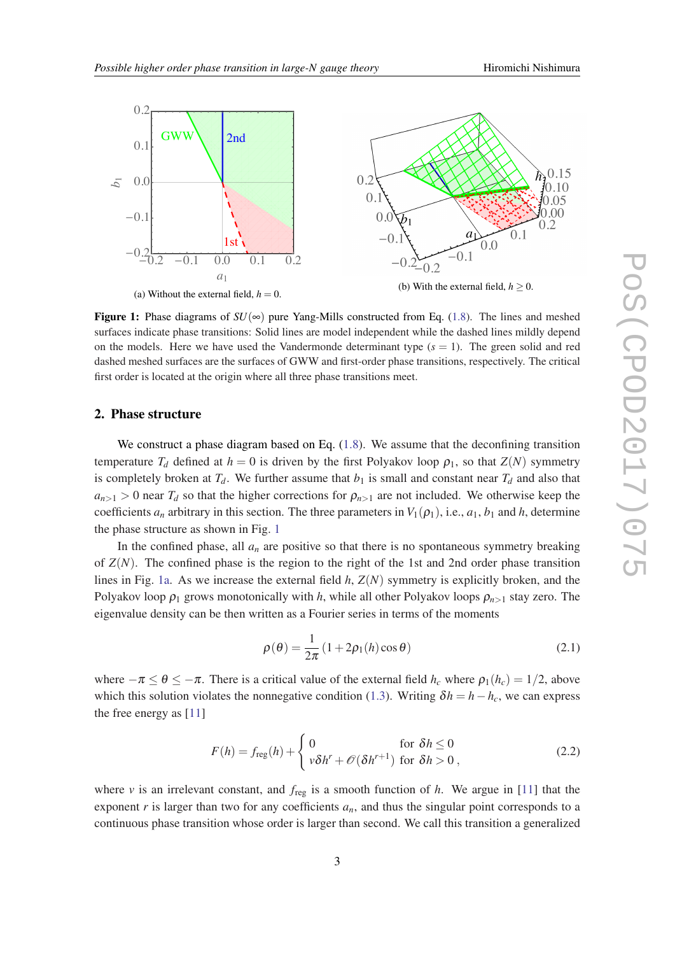<span id="page-3-0"></span>

**Figure 1:** Phase diagrams of  $SU(\infty)$  pure Yang-Mills constructed from Eq. ([1.8](#page-2-0)). The lines and meshed surfaces indicate phase transitions: Solid lines are model independent while the dashed lines mildly depend on the models. Here we have used the Vandermonde determinant type  $(s = 1)$ . The green solid and red dashed meshed surfaces are the surfaces of GWW and first-order phase transitions, respectively. The critical first order is located at the origin where all three phase transitions meet.

## 2. Phase structure

We construct a phase diagram based on Eq.  $(1.8)$  $(1.8)$  $(1.8)$ . We assume that the deconfining transition temperature  $T_d$  defined at  $h = 0$  is driven by the first Polyakov loop  $\rho_1$ , so that  $Z(N)$  symmetry is completely broken at  $T_d$ . We further assume that  $b_1$  is small and constant near  $T_d$  and also that  $a_{n>1} > 0$  near  $T_d$  so that the higher corrections for  $\rho_{n>1}$  are not included. We otherwise keep the coefficients  $a_n$  arbitrary in this section. The three parameters in  $V_1(\rho_1)$ , i.e.,  $a_1$ ,  $b_1$  and  $h$ , determine the phase structure as shown in Fig. 1

In the confined phase, all  $a_n$  are positive so that there is no spontaneous symmetry breaking of  $Z(N)$ . The confined phase is the region to the right of the 1st and 2nd order phase transition lines in Fig. 1a. As we increase the external field *h*, *Z*(*N*) symmetry is explicitly broken, and the Polyakov loop  $\rho_1$  grows monotonically with *h*, while all other Polyakov loops  $\rho_{n>1}$  stay zero. The eigenvalue density can be then written as a Fourier series in terms of the moments

$$
\rho(\theta) = \frac{1}{2\pi} (1 + 2\rho_1(h)\cos\theta)
$$
\n(2.1)

where  $-\pi \le \theta \le -\pi$ . There is a critical value of the external field  $h_c$  where  $\rho_1(h_c) = 1/2$ , above which this solution violates the nonnegative condition [\(1.3](#page-1-0)). Writing  $\delta h = h - h_c$ , we can express the free energy as [[11\]](#page-7-0)

$$
F(h) = f_{\text{reg}}(h) + \begin{cases} 0 & \text{for } \delta h \le 0\\ v\delta h^r + \mathcal{O}(\delta h^{r+1}) & \text{for } \delta h > 0 \end{cases}
$$
 (2.2)

where  $\nu$  is an irrelevant constant, and  $f_{\text{reg}}$  is a smooth function of  $h$ . We argue in [\[11\]](#page-7-0) that the exponent  $r$  is larger than two for any coefficients  $a_n$ , and thus the singular point corresponds to a continuous phase transition whose order is larger than second. We call this transition a generalized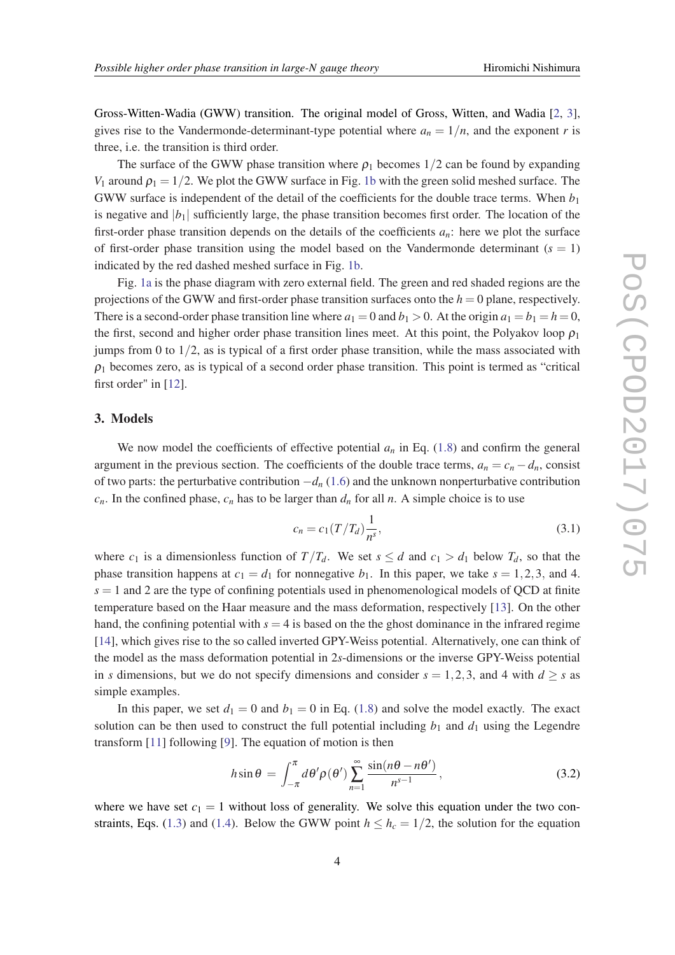<span id="page-4-0"></span>Gross-Witten-Wadia (GWW) transition. The original model of Gross, Witten, and Wadia [\[2,](#page-6-0) [3\]](#page-6-0), gives rise to the Vandermonde-determinant-type potential where  $a_n = 1/n$ , and the exponent *r* is three, i.e. the transition is third order.

The surface of the GWW phase transition where  $\rho_1$  becomes 1/2 can be found by expanding *V*<sub>1</sub> around  $\rho_1 = 1/2$ . We plot the GWW surface in Fig. [1b](#page-3-0) with the green solid meshed surface. The GWW surface is independent of the detail of the coefficients for the double trace terms. When *b*<sup>1</sup> is negative and  $|b_1|$  sufficiently large, the phase transition becomes first order. The location of the first-order phase transition depends on the details of the coefficients  $a_n$ : here we plot the surface of first-order phase transition using the model based on the Vandermonde determinant  $(s = 1)$ indicated by the red dashed meshed surface in Fig. [1b.](#page-3-0)

Fig. [1a](#page-3-0) is the phase diagram with zero external field. The green and red shaded regions are the projections of the GWW and first-order phase transition surfaces onto the  $h = 0$  plane, respectively. There is a second-order phase transition line where  $a_1 = 0$  and  $b_1 > 0$ . At the origin  $a_1 = b_1 = h = 0$ , the first, second and higher order phase transition lines meet. At this point, the Polyakov loop  $\rho_1$ jumps from 0 to  $1/2$ , as is typical of a first order phase transition, while the mass associated with  $\rho_1$  becomes zero, as is typical of a second order phase transition. This point is termed as "critical" first order" in [\[12\]](#page-7-0).

# 3. Models

We now model the coefficients of effective potential  $a_n$  in Eq. ([1.8\)](#page-2-0) and confirm the general argument in the previous section. The coefficients of the double trace terms,  $a_n = c_n - d_n$ , consist of two parts: the perturbative contribution −*d<sup>n</sup>* [\(1.6](#page-2-0)) and the unknown nonperturbative contribution  $c_n$ . In the confined phase,  $c_n$  has to be larger than  $d_n$  for all *n*. A simple choice is to use

$$
c_n = c_1 (T/T_d) \frac{1}{n^s},
$$
\n(3.1)

where  $c_1$  is a dimensionless function of  $T/T_d$ . We set  $s \leq d$  and  $c_1 > d_1$  below  $T_d$ , so that the phase transition happens at  $c_1 = d_1$  for nonnegative  $b_1$ . In this paper, we take  $s = 1, 2, 3$ , and 4.  $s = 1$  and 2 are the type of confining potentials used in phenomenological models of QCD at finite temperature based on the Haar measure and the mass deformation, respectively [\[13](#page-7-0)]. On the other hand, the confining potential with  $s = 4$  is based on the the ghost dominance in the infrared regime [[14\]](#page-7-0), which gives rise to the so called inverted GPY-Weiss potential. Alternatively, one can think of the model as the mass deformation potential in 2*s*-dimensions or the inverse GPY-Weiss potential in *s* dimensions, but we do not specify dimensions and consider  $s = 1, 2, 3$ , and 4 with  $d \geq s$  as simple examples.

In this paper, we set  $d_1 = 0$  and  $b_1 = 0$  in Eq. [\(1.8\)](#page-2-0) and solve the model exactly. The exact solution can be then used to construct the full potential including  $b_1$  and  $d_1$  using the Legendre transform [\[11](#page-7-0)] following [[9](#page-7-0)]. The equation of motion is then

$$
h\sin\theta = \int_{-\pi}^{\pi} d\theta' \rho(\theta') \sum_{n=1}^{\infty} \frac{\sin(n\theta - n\theta')}{n^{s-1}},
$$
\n(3.2)

where we have set  $c_1 = 1$  without loss of generality. We solve this equation under the two con-straints, Eqs. [\(1.3\)](#page-1-0) and [\(1.4\)](#page-1-0). Below the GWW point  $h \leq h_c = 1/2$ , the solution for the equation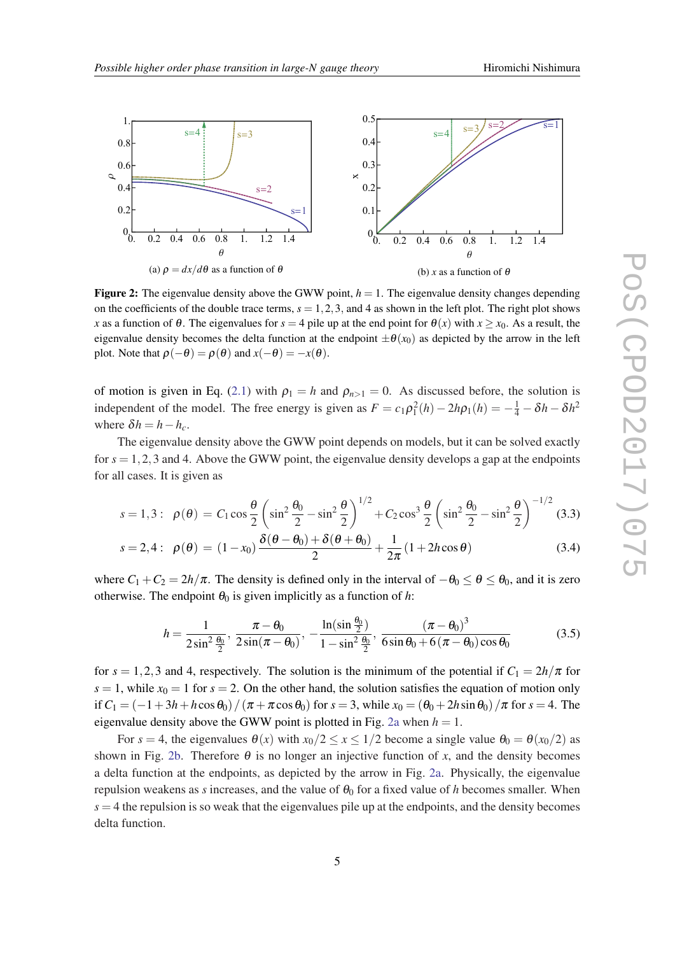

**Figure 2:** The eigenvalue density above the GWW point,  $h = 1$ . The eigenvalue density changes depending on the coefficients of the double trace terms,  $s = 1, 2, 3$ , and 4 as shown in the left plot. The right plot shows *x* as a function of  $\theta$ . The eigenvalues for  $s = 4$  pile up at the end point for  $\theta(x)$  with  $x \ge x_0$ . As a result, the eigenvalue density becomes the delta function at the endpoint  $\pm \theta(x_0)$  as depicted by the arrow in the left plot. Note that  $\rho(-\theta) = \rho(\theta)$  and  $x(-\theta) = -x(\theta)$ .

of motion is given in Eq. [\(2.1\)](#page-3-0) with  $\rho_1 = h$  and  $\rho_{n>1} = 0$ . As discussed before, the solution is independent of the model. The free energy is given as  $F = c_1 \rho_1^2(h) - 2h\rho_1(h) = -\frac{1}{4} - \delta h - \delta h^2$ where  $\delta h = h - h_c$ .

The eigenvalue density above the GWW point depends on models, but it can be solved exactly for  $s = 1, 2, 3$  and 4. Above the GWW point, the eigenvalue density develops a gap at the endpoints for all cases. It is given as

$$
s = 1,3: \ \ \rho(\theta) = C_1 \cos \frac{\theta}{2} \left( \sin^2 \frac{\theta_0}{2} - \sin^2 \frac{\theta}{2} \right)^{1/2} + C_2 \cos^3 \frac{\theta}{2} \left( \sin^2 \frac{\theta_0}{2} - \sin^2 \frac{\theta}{2} \right)^{-1/2} (3.3)
$$

$$
s = 2, 4: \ \rho(\theta) = (1 - x_0) \frac{\delta(\theta - \theta_0) + \delta(\theta + \theta_0)}{2} + \frac{1}{2\pi} (1 + 2h\cos\theta)
$$
 (3.4)

where  $C_1 + C_2 = 2h/\pi$ . The density is defined only in the interval of  $-\theta_0 \le \theta \le \theta_0$ , and it is zero otherwise. The endpoint  $\theta_0$  is given implicitly as a function of *h*:

$$
h = \frac{1}{2\sin^2{\frac{\theta_0}{2}}}, \frac{\pi - \theta_0}{2\sin(\pi - \theta_0)}, -\frac{\ln(\sin{\frac{\theta_0}{2}})}{1 - \sin^2{\frac{\theta_0}{2}}}, \frac{(\pi - \theta_0)^3}{6\sin{\theta_0} + 6(\pi - \theta_0)\cos{\theta_0}}
$$
(3.5)

for  $s = 1, 2, 3$  and 4, respectively. The solution is the minimum of the potential if  $C_1 = 2h/\pi$  for  $s = 1$ , while  $x<sub>0</sub> = 1$  for  $s = 2$ . On the other hand, the solution satisfies the equation of motion only if  $C_1 = (-1+3h+h\cos\theta_0)/(\pi+\pi\cos\theta_0)$  for  $s = 3$ , while  $x_0 = (\theta_0+2h\sin\theta_0)/\pi$  for  $s = 4$ . The eigenvalue density above the GWW point is plotted in Fig. 2a when  $h = 1$ .

For  $s = 4$ , the eigenvalues  $\theta(x)$  with  $x_0/2 \le x \le 1/2$  become a single value  $\theta_0 = \theta(x_0/2)$  as shown in Fig. 2b. Therefore  $\theta$  is no longer an injective function of *x*, and the density becomes a delta function at the endpoints, as depicted by the arrow in Fig. 2a. Physically, the eigenvalue repulsion weakens as *s* increases, and the value of  $\theta_0$  for a fixed value of *h* becomes smaller. When  $s = 4$  the repulsion is so weak that the eigenvalues pile up at the endpoints, and the density becomes delta function.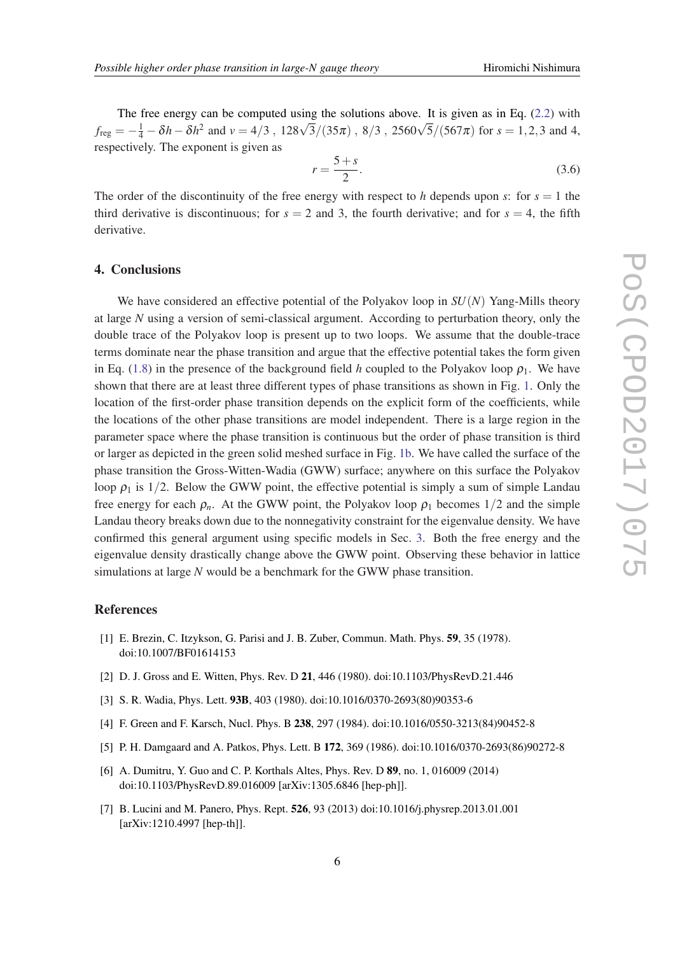<span id="page-6-0"></span>The free energy can be computed using the solutions above. It is given as in Eq. ([2.2](#page-3-0)) with *f*reg  $= -\frac{1}{4} - \delta h - \delta h^2$  and  $v = 4/3$ ,  $128\sqrt{3}/(35\pi)$ ,  $8/3$ ,  $2560\sqrt{5}/(567\pi)$  for  $s = 1, 2, 3$  and 4, respectively. The exponent is given as

$$
r = \frac{5+s}{2}.\tag{3.6}
$$

The order of the discontinuity of the free energy with respect to *h* depends upon *s*: for  $s = 1$  the third derivative is discontinuous; for  $s = 2$  and 3, the fourth derivative; and for  $s = 4$ , the fifth derivative.

### 4. Conclusions

We have considered an effective potential of the Polyakov loop in *SU*(*N*) Yang-Mills theory at large *N* using a version of semi-classical argument. According to perturbation theory, only the double trace of the Polyakov loop is present up to two loops. We assume that the double-trace terms dominate near the phase transition and argue that the effective potential takes the form given in Eq. ([1.8\)](#page-2-0) in the presence of the background field *h* coupled to the Polyakov loop  $\rho_1$ . We have shown that there are at least three different types of phase transitions as shown in Fig. [1](#page-3-0). Only the location of the first-order phase transition depends on the explicit form of the coefficients, while the locations of the other phase transitions are model independent. There is a large region in the parameter space where the phase transition is continuous but the order of phase transition is third or larger as depicted in the green solid meshed surface in Fig. [1b.](#page-3-0) We have called the surface of the phase transition the Gross-Witten-Wadia (GWW) surface; anywhere on this surface the Polyakov loop  $\rho_1$  is 1/2. Below the GWW point, the effective potential is simply a sum of simple Landau free energy for each  $\rho_n$ . At the GWW point, the Polyakov loop  $\rho_1$  becomes 1/2 and the simple Landau theory breaks down due to the nonnegativity constraint for the eigenvalue density. We have confirmed this general argument using specific models in Sec. [3.](#page-4-0) Both the free energy and the eigenvalue density drastically change above the GWW point. Observing these behavior in lattice simulations at large *N* would be a benchmark for the GWW phase transition.

## References

- [1] E. Brezin, C. Itzykson, G. Parisi and J. B. Zuber, Commun. Math. Phys. 59, 35 (1978). doi:10.1007/BF01614153
- [2] D. J. Gross and E. Witten, Phys. Rev. D 21, 446 (1980). doi:10.1103/PhysRevD.21.446
- [3] S. R. Wadia, Phys. Lett. 93B, 403 (1980). doi:10.1016/0370-2693(80)90353-6
- [4] F. Green and F. Karsch, Nucl. Phys. B 238, 297 (1984). doi:10.1016/0550-3213(84)90452-8
- [5] P. H. Damgaard and A. Patkos, Phys. Lett. B 172, 369 (1986). doi:10.1016/0370-2693(86)90272-8
- [6] A. Dumitru, Y. Guo and C. P. Korthals Altes, Phys. Rev. D 89, no. 1, 016009 (2014) doi:10.1103/PhysRevD.89.016009 [arXiv:1305.6846 [hep-ph]].
- [7] B. Lucini and M. Panero, Phys. Rept. 526, 93 (2013) doi:10.1016/j.physrep.2013.01.001 [arXiv:1210.4997 [hep-th]].